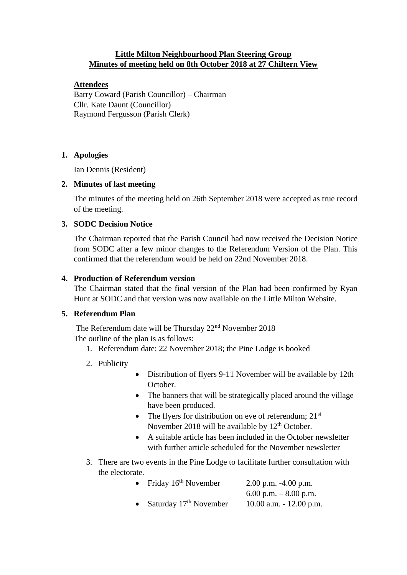# **Little Milton Neighbourhood Plan Steering Group Minutes of meeting held on 8th October 2018 at 27 Chiltern View**

# **Attendees**

Barry Coward (Parish Councillor) – Chairman Cllr. Kate Daunt (Councillor) Raymond Fergusson (Parish Clerk)

#### **1. Apologies**

Ian Dennis (Resident)

# **2. Minutes of last meeting**

The minutes of the meeting held on 26th September 2018 were accepted as true record of the meeting.

# **3. SODC Decision Notice**

The Chairman reported that the Parish Council had now received the Decision Notice from SODC after a few minor changes to the Referendum Version of the Plan. This confirmed that the referendum would be held on 22nd November 2018.

# **4. Production of Referendum version**

The Chairman stated that the final version of the Plan had been confirmed by Ryan Hunt at SODC and that version was now available on the Little Milton Website.

# **5. Referendum Plan**

The Referendum date will be Thursday 22<sup>nd</sup> November 2018 The outline of the plan is as follows:

- 1. Referendum date: 22 November 2018; the Pine Lodge is booked
- 2. Publicity
- Distribution of flyers 9-11 November will be available by 12th October.
- The banners that will be strategically placed around the village have been produced.
- The flyers for distribution on eve of referendum;  $21<sup>st</sup>$ November 2018 will be available by  $12<sup>th</sup>$  October.
- A suitable article has been included in the October newsletter with further article scheduled for the November newsletter
- 3. There are two events in the Pine Lodge to facilitate further consultation with the electorate.

| Friday 16 <sup>th</sup> November   | $2.00$ p.m. $-4.00$ p.m.   |
|------------------------------------|----------------------------|
|                                    | 6.00 p.m. $-8.00$ p.m.     |
| Saturday 17 <sup>th</sup> November | $10.00$ a.m. $-12.00$ p.m. |